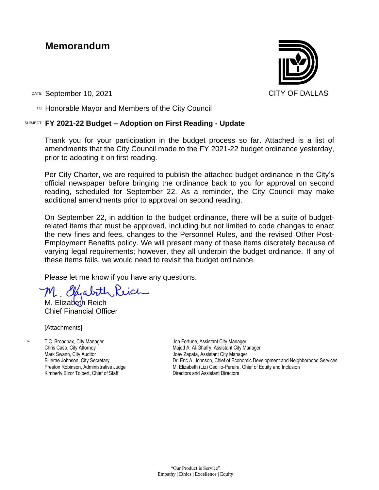# **Memorandum**



DATE September 10, 2021 CITY OF DALLAS

 $T$ <sup>O</sup> Honorable Mayor and Members of the City Council

# SUBJECT **FY 2021-22 Budget – Adoption on First Reading - Update**

Thank you for your participation in the budget process so far. Attached is a list of amendments that the City Council made to the FY 2021-22 budget ordinance yesterday, prior to adopting it on first reading.

Per City Charter, we are required to publish the attached budget ordinance in the City's official newspaper before bringing the ordinance back to you for approval on second reading, scheduled for September 22. As a reminder, the City Council may make additional amendments prior to approval on second reading.

On September 22, in addition to the budget ordinance, there will be a suite of budgetrelated items that must be approved, including but not limited to code changes to enact the new fines and fees, changes to the Personnel Rules, and the revised Other Post-Employment Benefits policy. We will present many of these items discretely because of varying legal requirements; however, they all underpin the budget ordinance. If any of these items fails, we would need to revisit the budget ordinance.

Please let me know if you have any questions.

لەمد

M. Elizabeth Reich Chief Financial Officer

[Attachments]

c: T.C. Broadnax, City Manager Chris Caso, City Attorney Mark Swann, City Auditor Bilierae Johnson, City Secretary Preston Robinson, Administrative Judge Kimberly Bizor Tolbert, Chief of Staff

Jon Fortune, Assistant City Manager Majed A. Al-Ghafry, Assistant City Manager Joey Zapata, Assistant City Manager Dr. Eric A. Johnson, Chief of Economic Development and Neighborhood Services M. Elizabeth (Liz) Cedillo-Pereira, Chief of Equity and Inclusion Directors and Assistant Directors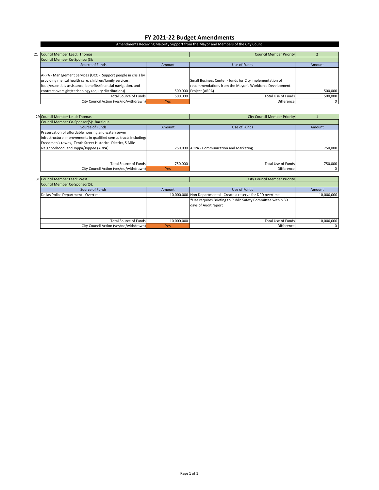#### **FY 2021‐22 Budget Amendments**

#### Amendments Receiving Majority Support from the Mayor and Members of the City Council

| 21 Council Member Lead: Thomas                                 |            | <b>Council Member Priority</b>                           |         |
|----------------------------------------------------------------|------------|----------------------------------------------------------|---------|
| Council Member Co-Sponsor(S):                                  |            |                                                          |         |
| Source of Funds                                                | Amount     | Use of Funds                                             | Amount  |
|                                                                |            |                                                          |         |
| ARPA - Management Services (OCC - Support people in crisis by  |            |                                                          |         |
| providing mental health care, children/family services,        |            | Small Business Center - funds for City implementation of |         |
| food/essentials assistance, benefits/financial navigation, and |            | recommendations from the Mayor's Workforce Development   |         |
| contract oversight/technology (equity distribution))           |            | 500,000 Project (ARPA)                                   | 500,000 |
| <b>Total Source of Funds</b>                                   | 500.000    | <b>Total Use of Funds</b>                                | 500.000 |
| City Council Action (yes/no/withdrawn)                         | <b>Yes</b> | Difference                                               | 0       |

| 29 Council Member Lead: Thomas                                    |         | <b>City Council Member Priority</b>        |         |
|-------------------------------------------------------------------|---------|--------------------------------------------|---------|
| Council Member Co-Sponsor(S): Bazaldua                            |         |                                            |         |
| Source of Funds                                                   | Amount  | Use of Funds                               | Amount  |
| Preservation of affordable housing and water/sewer                |         |                                            |         |
| infrastructure improvements in qualified census tracts including: |         |                                            |         |
| Freedmen's towns, Tenth Street Historical District, 5 Mile        |         |                                            |         |
| Neighborhood, and Joppa/Joppee (ARPA)                             |         | 750,000 ARPA - Communication and Marketing | 750.000 |
|                                                                   |         |                                            |         |
|                                                                   |         |                                            |         |
| <b>Total Source of Funds</b>                                      | 750,000 | <b>Total Use of Funds</b>                  | 750,000 |
| City Council Action (yes/no/withdrawn)                            | Yes     | Difference                                 | 0       |

| 31 Council Member Lead: West           |            | <b>City Council Member Priority</b>                             |            |
|----------------------------------------|------------|-----------------------------------------------------------------|------------|
| Council Member Co-Sponsor(S):          |            |                                                                 |            |
| Source of Funds<br>Amount              |            | Use of Funds                                                    | Amount     |
| Dallas Police Department - Overtime    |            | 10,000,000 Non Departmental - Create a reserve for DPD overtime | 10,000,000 |
|                                        |            | *Use requires Briefing to Public Safety Committee within 30     |            |
|                                        |            | days of Audit report                                            |            |
|                                        |            |                                                                 |            |
|                                        |            |                                                                 |            |
| <b>Total Source of Funds</b>           | 10.000.000 | <b>Total Use of Funds</b>                                       | 10,000,000 |
| City Council Action (yes/no/withdrawn) | <b>Yes</b> | Difference                                                      |            |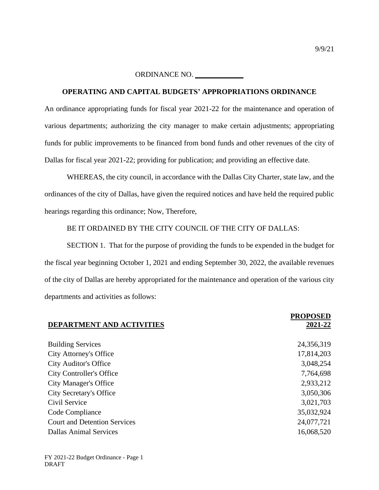# **OPERATING AND CAPITAL BUDGETS' APPROPRIATIONS ORDINANCE**

An ordinance appropriating funds for fiscal year 2021-22 for the maintenance and operation of various departments; authorizing the city manager to make certain adjustments; appropriating funds for public improvements to be financed from bond funds and other revenues of the city of Dallas for fiscal year 2021-22; providing for publication; and providing an effective date.

WHEREAS, the city council, in accordance with the Dallas City Charter, state law, and the ordinances of the city of Dallas, have given the required notices and have held the required public hearings regarding this ordinance; Now, Therefore,

BE IT ORDAINED BY THE CITY COUNCIL OF THE CITY OF DALLAS:

SECTION 1. That for the purpose of providing the funds to be expended in the budget for the fiscal year beginning October 1, 2021 and ending September 30, 2022, the available revenues of the city of Dallas are hereby appropriated for the maintenance and operation of the various city departments and activities as follows:

|                                     | <b>PROPOSED</b> |
|-------------------------------------|-----------------|
| <b>DEPARTMENT AND ACTIVITIES</b>    | 2021-22         |
|                                     |                 |
| <b>Building Services</b>            | 24,356,319      |
| <b>City Attorney's Office</b>       | 17,814,203      |
| <b>City Auditor's Office</b>        | 3,048,254       |
| <b>City Controller's Office</b>     | 7,764,698       |
| <b>City Manager's Office</b>        | 2,933,212       |
| <b>City Secretary's Office</b>      | 3,050,306       |
| Civil Service                       | 3,021,703       |
| Code Compliance                     | 35,032,924      |
| <b>Court and Detention Services</b> | 24,077,721      |
| <b>Dallas Animal Services</b>       | 16,068,520      |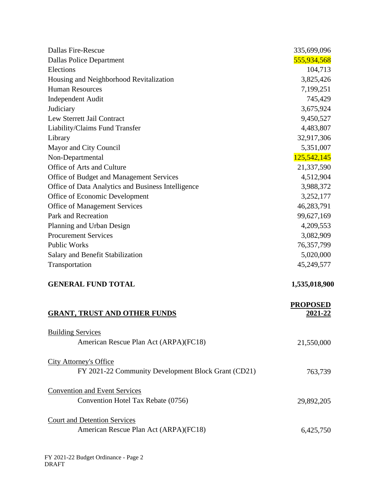| <b>Dallas Fire-Rescue</b>                           | 335,699,096                |
|-----------------------------------------------------|----------------------------|
| <b>Dallas Police Department</b>                     | 555,934,568                |
| Elections                                           | 104,713                    |
| Housing and Neighborhood Revitalization             | 3,825,426                  |
| <b>Human Resources</b>                              | 7,199,251                  |
| <b>Independent Audit</b>                            | 745,429                    |
| Judiciary                                           | 3,675,924                  |
| Lew Sterrett Jail Contract                          | 9,450,527                  |
| Liability/Claims Fund Transfer                      | 4,483,807                  |
| Library                                             | 32,917,306                 |
| Mayor and City Council                              | 5,351,007                  |
| Non-Departmental                                    | 125,542,145                |
| Office of Arts and Culture                          | 21,337,590                 |
| Office of Budget and Management Services            | 4,512,904                  |
| Office of Data Analytics and Business Intelligence  | 3,988,372                  |
| Office of Economic Development                      | 3,252,177                  |
| <b>Office of Management Services</b>                | 46,283,791                 |
| Park and Recreation                                 | 99,627,169                 |
| Planning and Urban Design                           | 4,209,553                  |
| <b>Procurement Services</b>                         | 3,082,909                  |
| <b>Public Works</b>                                 | 76,357,799                 |
| Salary and Benefit Stabilization                    | 5,020,000                  |
| Transportation                                      | 45,249,577                 |
| <b>GENERAL FUND TOTAL</b>                           | 1,535,018,900              |
| <b>GRANT, TRUST AND OTHER FUNDS</b>                 | <b>PROPOSED</b><br>2021-22 |
| <b>Building Services</b>                            |                            |
| American Rescue Plan Act (ARPA)(FC18)               | 21,550,000                 |
| <b>City Attorney's Office</b>                       |                            |
| FY 2021-22 Community Development Block Grant (CD21) | 763,739                    |
| <b>Convention and Event Services</b>                |                            |
| Convention Hotel Tax Rebate (0756)                  | 29,892,205                 |
| <b>Court and Detention Services</b>                 |                            |
| American Rescue Plan Act (ARPA)(FC18)               | 6,425,750                  |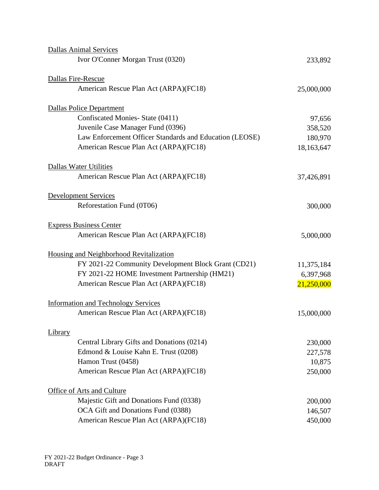|         | <b>Dallas Animal Services</b>                           |            |
|---------|---------------------------------------------------------|------------|
|         | Ivor O'Conner Morgan Trust (0320)                       | 233,892    |
|         | Dallas Fire-Rescue                                      |            |
|         | American Rescue Plan Act (ARPA)(FC18)                   | 25,000,000 |
|         | <b>Dallas Police Department</b>                         |            |
|         | Confiscated Monies- State (0411)                        | 97,656     |
|         | Juvenile Case Manager Fund (0396)                       | 358,520    |
|         | Law Enforcement Officer Standards and Education (LEOSE) | 180,970    |
|         | American Rescue Plan Act (ARPA)(FC18)                   | 18,163,647 |
|         | Dallas Water Utilities                                  |            |
|         | American Rescue Plan Act (ARPA)(FC18)                   | 37,426,891 |
|         | <b>Development Services</b>                             |            |
|         | Reforestation Fund (0T06)                               | 300,000    |
|         | <b>Express Business Center</b>                          |            |
|         | American Rescue Plan Act (ARPA)(FC18)                   | 5,000,000  |
|         | Housing and Neighborhood Revitalization                 |            |
|         | FY 2021-22 Community Development Block Grant (CD21)     | 11,375,184 |
|         | FY 2021-22 HOME Investment Partnership (HM21)           | 6,397,968  |
|         | American Rescue Plan Act (ARPA)(FC18)                   | 21,250,000 |
|         | <b>Information and Technology Services</b>              |            |
|         | American Rescue Plan Act (ARPA)(FC18)                   | 15,000,000 |
| Library |                                                         |            |
|         | Central Library Gifts and Donations (0214)              | 230,000    |
|         | Edmond & Louise Kahn E. Trust (0208)                    | 227,578    |
|         | Hamon Trust (0458)                                      | 10,875     |
|         | American Rescue Plan Act (ARPA)(FC18)                   | 250,000    |
|         | Office of Arts and Culture                              |            |
|         | Majestic Gift and Donations Fund (0338)                 | 200,000    |
|         | OCA Gift and Donations Fund (0388)                      | 146,507    |
|         | American Rescue Plan Act (ARPA)(FC18)                   | 450,000    |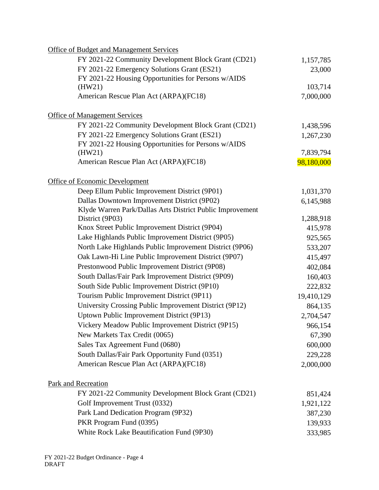| FY 2021-22 Community Development Block Grant (CD21)<br>1,157,785<br>FY 2021-22 Emergency Solutions Grant (ES21)<br>23,000<br>FY 2021-22 Housing Opportunities for Persons w/AIDS<br>103,714<br>(HW21)<br>American Rescue Plan Act (ARPA)(FC18)<br>7,000,000<br><b>Office of Management Services</b><br>FY 2021-22 Community Development Block Grant (CD21)<br>1,438,596<br>FY 2021-22 Emergency Solutions Grant (ES21)<br>1,267,230<br>FY 2021-22 Housing Opportunities for Persons w/AIDS<br>(HW21)<br>7,839,794<br>American Rescue Plan Act (ARPA)(FC18)<br>98,180,000<br><b>Office of Economic Development</b><br>Deep Ellum Public Improvement District (9P01)<br>1,031,370<br>Dallas Downtown Improvement District (9P02)<br>6,145,988<br>Klyde Warren Park/Dallas Arts District Public Improvement<br>District (9P03)<br>1,288,918<br>Knox Street Public Improvement District (9P04)<br>415,978<br>Lake Highlands Public Improvement District (9P05)<br>925,565<br>North Lake Highlands Public Improvement District (9P06)<br>533,207<br>Oak Lawn-Hi Line Public Improvement District (9P07)<br>415,497<br>Prestonwood Public Improvement District (9P08)<br>402,084<br>South Dallas/Fair Park Improvement District (9P09)<br>160,403<br>South Side Public Improvement District (9P10)<br>222,832<br>Tourism Public Improvement District (9P11)<br>19,410,129<br>University Crossing Public Improvement District (9P12)<br>864,135<br>Uptown Public Improvement District (9P13)<br>2,704,547<br>Vickery Meadow Public Improvement District (9P15)<br>966,154<br>New Markets Tax Credit (0065)<br>67,390<br>Sales Tax Agreement Fund (0680)<br>600,000<br>South Dallas/Fair Park Opportunity Fund (0351)<br>229,228<br>American Rescue Plan Act (ARPA)(FC18)<br>2,000,000<br>Park and Recreation<br>FY 2021-22 Community Development Block Grant (CD21)<br>851,424<br>Golf Improvement Trust (0332)<br>1,921,122<br>Park Land Dedication Program (9P32)<br>387,230<br>PKR Program Fund (0395)<br>139,933<br>White Rock Lake Beautification Fund (9P30)<br>333,985 | Office of Budget and Management Services |  |
|------------------------------------------------------------------------------------------------------------------------------------------------------------------------------------------------------------------------------------------------------------------------------------------------------------------------------------------------------------------------------------------------------------------------------------------------------------------------------------------------------------------------------------------------------------------------------------------------------------------------------------------------------------------------------------------------------------------------------------------------------------------------------------------------------------------------------------------------------------------------------------------------------------------------------------------------------------------------------------------------------------------------------------------------------------------------------------------------------------------------------------------------------------------------------------------------------------------------------------------------------------------------------------------------------------------------------------------------------------------------------------------------------------------------------------------------------------------------------------------------------------------------------------------------------------------------------------------------------------------------------------------------------------------------------------------------------------------------------------------------------------------------------------------------------------------------------------------------------------------------------------------------------------------------------------------------------------------------------------------------------------------------------------------------------------------------|------------------------------------------|--|
|                                                                                                                                                                                                                                                                                                                                                                                                                                                                                                                                                                                                                                                                                                                                                                                                                                                                                                                                                                                                                                                                                                                                                                                                                                                                                                                                                                                                                                                                                                                                                                                                                                                                                                                                                                                                                                                                                                                                                                                                                                                                        |                                          |  |
|                                                                                                                                                                                                                                                                                                                                                                                                                                                                                                                                                                                                                                                                                                                                                                                                                                                                                                                                                                                                                                                                                                                                                                                                                                                                                                                                                                                                                                                                                                                                                                                                                                                                                                                                                                                                                                                                                                                                                                                                                                                                        |                                          |  |
|                                                                                                                                                                                                                                                                                                                                                                                                                                                                                                                                                                                                                                                                                                                                                                                                                                                                                                                                                                                                                                                                                                                                                                                                                                                                                                                                                                                                                                                                                                                                                                                                                                                                                                                                                                                                                                                                                                                                                                                                                                                                        |                                          |  |
|                                                                                                                                                                                                                                                                                                                                                                                                                                                                                                                                                                                                                                                                                                                                                                                                                                                                                                                                                                                                                                                                                                                                                                                                                                                                                                                                                                                                                                                                                                                                                                                                                                                                                                                                                                                                                                                                                                                                                                                                                                                                        |                                          |  |
|                                                                                                                                                                                                                                                                                                                                                                                                                                                                                                                                                                                                                                                                                                                                                                                                                                                                                                                                                                                                                                                                                                                                                                                                                                                                                                                                                                                                                                                                                                                                                                                                                                                                                                                                                                                                                                                                                                                                                                                                                                                                        |                                          |  |
|                                                                                                                                                                                                                                                                                                                                                                                                                                                                                                                                                                                                                                                                                                                                                                                                                                                                                                                                                                                                                                                                                                                                                                                                                                                                                                                                                                                                                                                                                                                                                                                                                                                                                                                                                                                                                                                                                                                                                                                                                                                                        |                                          |  |
|                                                                                                                                                                                                                                                                                                                                                                                                                                                                                                                                                                                                                                                                                                                                                                                                                                                                                                                                                                                                                                                                                                                                                                                                                                                                                                                                                                                                                                                                                                                                                                                                                                                                                                                                                                                                                                                                                                                                                                                                                                                                        |                                          |  |
|                                                                                                                                                                                                                                                                                                                                                                                                                                                                                                                                                                                                                                                                                                                                                                                                                                                                                                                                                                                                                                                                                                                                                                                                                                                                                                                                                                                                                                                                                                                                                                                                                                                                                                                                                                                                                                                                                                                                                                                                                                                                        |                                          |  |
|                                                                                                                                                                                                                                                                                                                                                                                                                                                                                                                                                                                                                                                                                                                                                                                                                                                                                                                                                                                                                                                                                                                                                                                                                                                                                                                                                                                                                                                                                                                                                                                                                                                                                                                                                                                                                                                                                                                                                                                                                                                                        |                                          |  |
|                                                                                                                                                                                                                                                                                                                                                                                                                                                                                                                                                                                                                                                                                                                                                                                                                                                                                                                                                                                                                                                                                                                                                                                                                                                                                                                                                                                                                                                                                                                                                                                                                                                                                                                                                                                                                                                                                                                                                                                                                                                                        |                                          |  |
|                                                                                                                                                                                                                                                                                                                                                                                                                                                                                                                                                                                                                                                                                                                                                                                                                                                                                                                                                                                                                                                                                                                                                                                                                                                                                                                                                                                                                                                                                                                                                                                                                                                                                                                                                                                                                                                                                                                                                                                                                                                                        |                                          |  |
|                                                                                                                                                                                                                                                                                                                                                                                                                                                                                                                                                                                                                                                                                                                                                                                                                                                                                                                                                                                                                                                                                                                                                                                                                                                                                                                                                                                                                                                                                                                                                                                                                                                                                                                                                                                                                                                                                                                                                                                                                                                                        |                                          |  |
|                                                                                                                                                                                                                                                                                                                                                                                                                                                                                                                                                                                                                                                                                                                                                                                                                                                                                                                                                                                                                                                                                                                                                                                                                                                                                                                                                                                                                                                                                                                                                                                                                                                                                                                                                                                                                                                                                                                                                                                                                                                                        |                                          |  |
|                                                                                                                                                                                                                                                                                                                                                                                                                                                                                                                                                                                                                                                                                                                                                                                                                                                                                                                                                                                                                                                                                                                                                                                                                                                                                                                                                                                                                                                                                                                                                                                                                                                                                                                                                                                                                                                                                                                                                                                                                                                                        |                                          |  |
|                                                                                                                                                                                                                                                                                                                                                                                                                                                                                                                                                                                                                                                                                                                                                                                                                                                                                                                                                                                                                                                                                                                                                                                                                                                                                                                                                                                                                                                                                                                                                                                                                                                                                                                                                                                                                                                                                                                                                                                                                                                                        |                                          |  |
|                                                                                                                                                                                                                                                                                                                                                                                                                                                                                                                                                                                                                                                                                                                                                                                                                                                                                                                                                                                                                                                                                                                                                                                                                                                                                                                                                                                                                                                                                                                                                                                                                                                                                                                                                                                                                                                                                                                                                                                                                                                                        |                                          |  |
|                                                                                                                                                                                                                                                                                                                                                                                                                                                                                                                                                                                                                                                                                                                                                                                                                                                                                                                                                                                                                                                                                                                                                                                                                                                                                                                                                                                                                                                                                                                                                                                                                                                                                                                                                                                                                                                                                                                                                                                                                                                                        |                                          |  |
|                                                                                                                                                                                                                                                                                                                                                                                                                                                                                                                                                                                                                                                                                                                                                                                                                                                                                                                                                                                                                                                                                                                                                                                                                                                                                                                                                                                                                                                                                                                                                                                                                                                                                                                                                                                                                                                                                                                                                                                                                                                                        |                                          |  |
|                                                                                                                                                                                                                                                                                                                                                                                                                                                                                                                                                                                                                                                                                                                                                                                                                                                                                                                                                                                                                                                                                                                                                                                                                                                                                                                                                                                                                                                                                                                                                                                                                                                                                                                                                                                                                                                                                                                                                                                                                                                                        |                                          |  |
|                                                                                                                                                                                                                                                                                                                                                                                                                                                                                                                                                                                                                                                                                                                                                                                                                                                                                                                                                                                                                                                                                                                                                                                                                                                                                                                                                                                                                                                                                                                                                                                                                                                                                                                                                                                                                                                                                                                                                                                                                                                                        |                                          |  |
|                                                                                                                                                                                                                                                                                                                                                                                                                                                                                                                                                                                                                                                                                                                                                                                                                                                                                                                                                                                                                                                                                                                                                                                                                                                                                                                                                                                                                                                                                                                                                                                                                                                                                                                                                                                                                                                                                                                                                                                                                                                                        |                                          |  |
|                                                                                                                                                                                                                                                                                                                                                                                                                                                                                                                                                                                                                                                                                                                                                                                                                                                                                                                                                                                                                                                                                                                                                                                                                                                                                                                                                                                                                                                                                                                                                                                                                                                                                                                                                                                                                                                                                                                                                                                                                                                                        |                                          |  |
|                                                                                                                                                                                                                                                                                                                                                                                                                                                                                                                                                                                                                                                                                                                                                                                                                                                                                                                                                                                                                                                                                                                                                                                                                                                                                                                                                                                                                                                                                                                                                                                                                                                                                                                                                                                                                                                                                                                                                                                                                                                                        |                                          |  |
|                                                                                                                                                                                                                                                                                                                                                                                                                                                                                                                                                                                                                                                                                                                                                                                                                                                                                                                                                                                                                                                                                                                                                                                                                                                                                                                                                                                                                                                                                                                                                                                                                                                                                                                                                                                                                                                                                                                                                                                                                                                                        |                                          |  |
|                                                                                                                                                                                                                                                                                                                                                                                                                                                                                                                                                                                                                                                                                                                                                                                                                                                                                                                                                                                                                                                                                                                                                                                                                                                                                                                                                                                                                                                                                                                                                                                                                                                                                                                                                                                                                                                                                                                                                                                                                                                                        |                                          |  |
|                                                                                                                                                                                                                                                                                                                                                                                                                                                                                                                                                                                                                                                                                                                                                                                                                                                                                                                                                                                                                                                                                                                                                                                                                                                                                                                                                                                                                                                                                                                                                                                                                                                                                                                                                                                                                                                                                                                                                                                                                                                                        |                                          |  |
|                                                                                                                                                                                                                                                                                                                                                                                                                                                                                                                                                                                                                                                                                                                                                                                                                                                                                                                                                                                                                                                                                                                                                                                                                                                                                                                                                                                                                                                                                                                                                                                                                                                                                                                                                                                                                                                                                                                                                                                                                                                                        |                                          |  |
|                                                                                                                                                                                                                                                                                                                                                                                                                                                                                                                                                                                                                                                                                                                                                                                                                                                                                                                                                                                                                                                                                                                                                                                                                                                                                                                                                                                                                                                                                                                                                                                                                                                                                                                                                                                                                                                                                                                                                                                                                                                                        |                                          |  |
|                                                                                                                                                                                                                                                                                                                                                                                                                                                                                                                                                                                                                                                                                                                                                                                                                                                                                                                                                                                                                                                                                                                                                                                                                                                                                                                                                                                                                                                                                                                                                                                                                                                                                                                                                                                                                                                                                                                                                                                                                                                                        |                                          |  |
|                                                                                                                                                                                                                                                                                                                                                                                                                                                                                                                                                                                                                                                                                                                                                                                                                                                                                                                                                                                                                                                                                                                                                                                                                                                                                                                                                                                                                                                                                                                                                                                                                                                                                                                                                                                                                                                                                                                                                                                                                                                                        |                                          |  |
|                                                                                                                                                                                                                                                                                                                                                                                                                                                                                                                                                                                                                                                                                                                                                                                                                                                                                                                                                                                                                                                                                                                                                                                                                                                                                                                                                                                                                                                                                                                                                                                                                                                                                                                                                                                                                                                                                                                                                                                                                                                                        |                                          |  |
|                                                                                                                                                                                                                                                                                                                                                                                                                                                                                                                                                                                                                                                                                                                                                                                                                                                                                                                                                                                                                                                                                                                                                                                                                                                                                                                                                                                                                                                                                                                                                                                                                                                                                                                                                                                                                                                                                                                                                                                                                                                                        |                                          |  |
|                                                                                                                                                                                                                                                                                                                                                                                                                                                                                                                                                                                                                                                                                                                                                                                                                                                                                                                                                                                                                                                                                                                                                                                                                                                                                                                                                                                                                                                                                                                                                                                                                                                                                                                                                                                                                                                                                                                                                                                                                                                                        |                                          |  |
|                                                                                                                                                                                                                                                                                                                                                                                                                                                                                                                                                                                                                                                                                                                                                                                                                                                                                                                                                                                                                                                                                                                                                                                                                                                                                                                                                                                                                                                                                                                                                                                                                                                                                                                                                                                                                                                                                                                                                                                                                                                                        |                                          |  |
|                                                                                                                                                                                                                                                                                                                                                                                                                                                                                                                                                                                                                                                                                                                                                                                                                                                                                                                                                                                                                                                                                                                                                                                                                                                                                                                                                                                                                                                                                                                                                                                                                                                                                                                                                                                                                                                                                                                                                                                                                                                                        |                                          |  |
|                                                                                                                                                                                                                                                                                                                                                                                                                                                                                                                                                                                                                                                                                                                                                                                                                                                                                                                                                                                                                                                                                                                                                                                                                                                                                                                                                                                                                                                                                                                                                                                                                                                                                                                                                                                                                                                                                                                                                                                                                                                                        |                                          |  |
|                                                                                                                                                                                                                                                                                                                                                                                                                                                                                                                                                                                                                                                                                                                                                                                                                                                                                                                                                                                                                                                                                                                                                                                                                                                                                                                                                                                                                                                                                                                                                                                                                                                                                                                                                                                                                                                                                                                                                                                                                                                                        |                                          |  |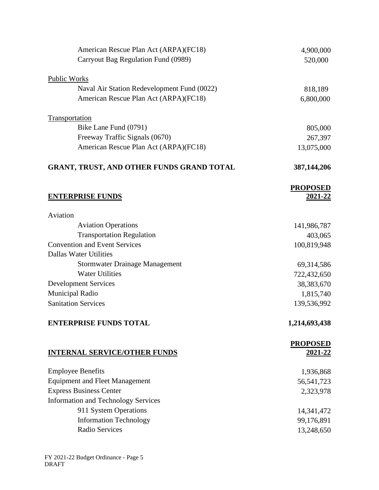| American Rescue Plan Act (ARPA)(FC18)            | 4,900,000       |
|--------------------------------------------------|-----------------|
| Carryout Bag Regulation Fund (0989)              | 520,000         |
| Public Works                                     |                 |
| Naval Air Station Redevelopment Fund (0022)      | 818,189         |
| American Rescue Plan Act (ARPA)(FC18)            | 6,800,000       |
| Transportation                                   |                 |
| Bike Lane Fund (0791)                            | 805,000         |
| Freeway Traffic Signals (0670)                   | 267,397         |
| American Rescue Plan Act (ARPA)(FC18)            | 13,075,000      |
| <b>GRANT, TRUST, AND OTHER FUNDS GRAND TOTAL</b> | 387,144,206     |
|                                                  | <b>PROPOSED</b> |
| <b>ENTERPRISE FUNDS</b>                          | 2021-22         |
| Aviation                                         |                 |
| <b>Aviation Operations</b>                       | 141,986,787     |
| <b>Transportation Regulation</b>                 | 403,065         |
| <b>Convention and Event Services</b>             | 100,819,948     |
| <b>Dallas Water Utilities</b>                    |                 |
| <b>Stormwater Drainage Management</b>            | 69,314,586      |
| <b>Water Utilities</b>                           | 722,432,650     |
| <b>Development Services</b>                      | 38,383,670      |
| Municipal Radio                                  | 1,815,740       |
| <b>Sanitation Services</b>                       | 139,536,992     |
| <b>ENTERPRISE FUNDS TOTAL</b>                    | 1,214,693,438   |
|                                                  | <b>PROPOSED</b> |
| <b>INTERNAL SERVICE/OTHER FUNDS</b>              | 2021-22         |
| <b>Employee Benefits</b>                         | 1,936,868       |
| <b>Equipment and Fleet Management</b>            | 56, 541, 723    |
| <b>Express Business Center</b>                   | 2,323,978       |
| <b>Information and Technology Services</b>       |                 |
| 911 System Operations                            | 14,341,472      |
| <b>Information Technology</b>                    | 99,176,891      |
| Radio Services                                   | 13,248,650      |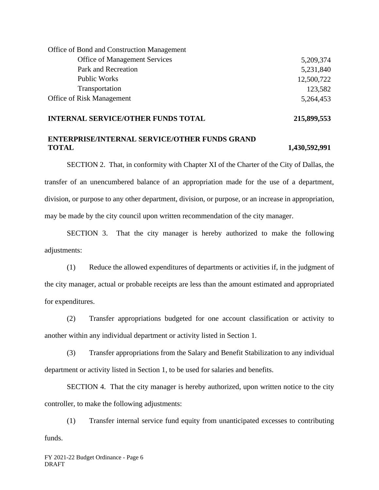| Office of Bond and Construction Management |            |
|--------------------------------------------|------------|
| <b>Office of Management Services</b>       | 5,209,374  |
| Park and Recreation                        | 5,231,840  |
| <b>Public Works</b>                        | 12,500,722 |
| Transportation                             | 123,582    |
| <b>Office of Risk Management</b>           | 5,264,453  |

### **INTERNAL SERVICE/OTHER FUNDS TOTAL 215,899,553**

# **ENTERPRISE/INTERNAL SERVICE/OTHER FUNDS GRAND TOTAL 1,430,592,991**

SECTION 2. That, in conformity with Chapter XI of the Charter of the City of Dallas, the transfer of an unencumbered balance of an appropriation made for the use of a department, division, or purpose to any other department, division, or purpose, or an increase in appropriation, may be made by the city council upon written recommendation of the city manager.

SECTION 3. That the city manager is hereby authorized to make the following adjustments:

(1) Reduce the allowed expenditures of departments or activities if, in the judgment of the city manager, actual or probable receipts are less than the amount estimated and appropriated for expenditures.

(2) Transfer appropriations budgeted for one account classification or activity to another within any individual department or activity listed in Section 1.

(3) Transfer appropriations from the Salary and Benefit Stabilization to any individual department or activity listed in Section 1, to be used for salaries and benefits.

SECTION 4. That the city manager is hereby authorized, upon written notice to the city controller, to make the following adjustments:

(1) Transfer internal service fund equity from unanticipated excesses to contributing funds.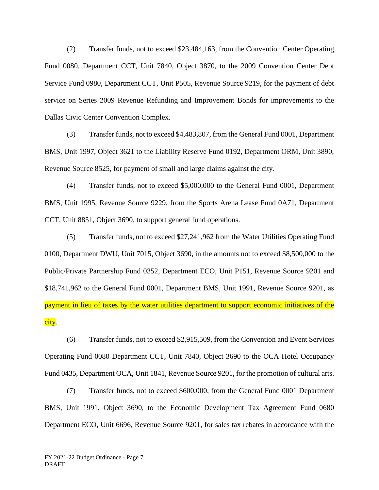(2) Transfer funds, not to exceed \$23,484,163, from the Convention Center Operating Fund 0080, Department CCT, Unit 7840, Object 3870, to the 2009 Convention Center Debt Service Fund 0980, Department CCT, Unit P505, Revenue Source 9219, for the payment of debt service on Series 2009 Revenue Refunding and Improvement Bonds for improvements to the Dallas Civic Center Convention Complex.

(3) Transfer funds, not to exceed \$4,483,807, from the General Fund 0001, Department BMS, Unit 1997, Object 3621 to the Liability Reserve Fund 0192, Department ORM, Unit 3890, Revenue Source 8525, for payment of small and large claims against the city.

(4) Transfer funds, not to exceed \$5,000,000 to the General Fund 0001, Department BMS, Unit 1995, Revenue Source 9229, from the Sports Arena Lease Fund 0A71, Department CCT, Unit 8851, Object 3690, to support general fund operations.

(5) Transfer funds, not to exceed \$27,241,962 from the Water Utilities Operating Fund 0100, Department DWU, Unit 7015, Object 3690, in the amounts not to exceed \$8,500,000 to the Public/Private Partnership Fund 0352, Department ECO, Unit P151, Revenue Source 9201 and \$18,741,962 to the General Fund 0001, Department BMS, Unit 1991, Revenue Source 9201, as payment in lieu of taxes by the water utilities department to support economic initiatives of the city.

(6) Transfer funds, not to exceed \$2,915,509, from the Convention and Event Services Operating Fund 0080 Department CCT, Unit 7840, Object 3690 to the OCA Hotel Occupancy Fund 0435, Department OCA, Unit 1841, Revenue Source 9201, for the promotion of cultural arts.

(7) Transfer funds, not to exceed \$600,000, from the General Fund 0001 Department BMS, Unit 1991, Object 3690, to the Economic Development Tax Agreement Fund 0680 Department ECO, Unit 6696, Revenue Source 9201, for sales tax rebates in accordance with the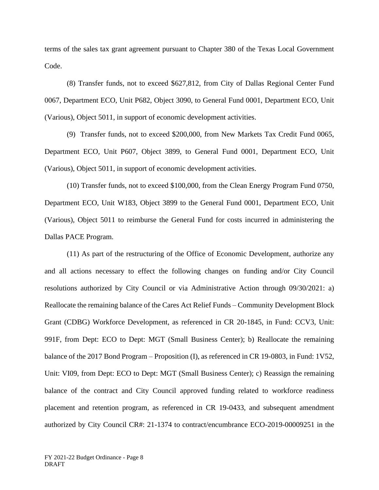terms of the sales tax grant agreement pursuant to Chapter 380 of the Texas Local Government Code.

(8) Transfer funds, not to exceed \$627,812, from City of Dallas Regional Center Fund 0067, Department ECO, Unit P682, Object 3090, to General Fund 0001, Department ECO, Unit (Various), Object 5011, in support of economic development activities.

(9) Transfer funds, not to exceed \$200,000, from New Markets Tax Credit Fund 0065, Department ECO, Unit P607, Object 3899, to General Fund 0001, Department ECO, Unit (Various), Object 5011, in support of economic development activities.

(10) Transfer funds, not to exceed \$100,000, from the Clean Energy Program Fund 0750, Department ECO, Unit W183, Object 3899 to the General Fund 0001, Department ECO, Unit (Various), Object 5011 to reimburse the General Fund for costs incurred in administering the Dallas PACE Program.

(11) As part of the restructuring of the Office of Economic Development, authorize any and all actions necessary to effect the following changes on funding and/or City Council resolutions authorized by City Council or via Administrative Action through 09/30/2021: a) Reallocate the remaining balance of the Cares Act Relief Funds – Community Development Block Grant (CDBG) Workforce Development, as referenced in CR 20-1845, in Fund: CCV3, Unit: 991F, from Dept: ECO to Dept: MGT (Small Business Center); b) Reallocate the remaining balance of the 2017 Bond Program – Proposition (I), as referenced in CR 19-0803, in Fund: 1V52, Unit: VI09, from Dept: ECO to Dept: MGT (Small Business Center); c) Reassign the remaining balance of the contract and City Council approved funding related to workforce readiness placement and retention program, as referenced in CR 19-0433, and subsequent amendment authorized by City Council CR#: 21-1374 to contract/encumbrance ECO-2019-00009251 in the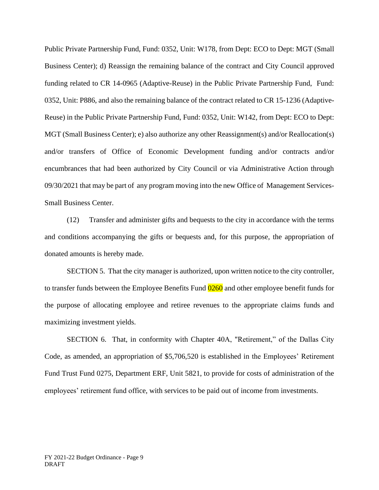Public Private Partnership Fund, Fund: 0352, Unit: W178, from Dept: ECO to Dept: MGT (Small Business Center); d) Reassign the remaining balance of the contract and City Council approved funding related to CR 14-0965 (Adaptive-Reuse) in the Public Private Partnership Fund, Fund: 0352, Unit: P886, and also the remaining balance of the contract related to CR 15-1236 (Adaptive-Reuse) in the Public Private Partnership Fund, Fund: 0352, Unit: W142, from Dept: ECO to Dept: MGT (Small Business Center); e) also authorize any other Reassignment(s) and/or Reallocation(s) and/or transfers of Office of Economic Development funding and/or contracts and/or encumbrances that had been authorized by City Council or via Administrative Action through 09/30/2021 that may be part of any program moving into the new Office of Management Services-Small Business Center.

(12) Transfer and administer gifts and bequests to the city in accordance with the terms and conditions accompanying the gifts or bequests and, for this purpose, the appropriation of donated amounts is hereby made.

SECTION 5. That the city manager is authorized, upon written notice to the city controller, to transfer funds between the Employee Benefits Fund 0260 and other employee benefit funds for the purpose of allocating employee and retiree revenues to the appropriate claims funds and maximizing investment yields.

SECTION 6. That, in conformity with Chapter 40A, "Retirement," of the Dallas City Code, as amended, an appropriation of \$5,706,520 is established in the Employees' Retirement Fund Trust Fund 0275, Department ERF, Unit 5821, to provide for costs of administration of the employees' retirement fund office, with services to be paid out of income from investments.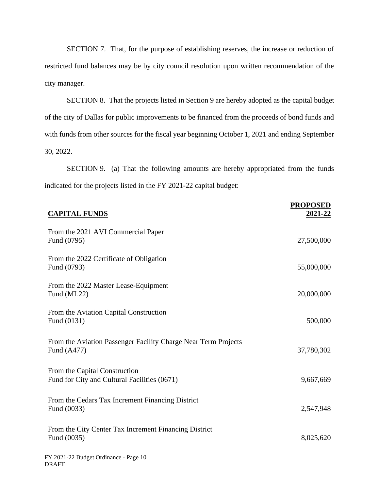SECTION 7. That, for the purpose of establishing reserves, the increase or reduction of restricted fund balances may be by city council resolution upon written recommendation of the city manager.

SECTION 8. That the projects listed in Section 9 are hereby adopted as the capital budget of the city of Dallas for public improvements to be financed from the proceeds of bond funds and with funds from other sources for the fiscal year beginning October 1, 2021 and ending September 30, 2022.

SECTION 9. (a) That the following amounts are hereby appropriated from the funds indicated for the projects listed in the FY 2021-22 capital budget:

| <b>CAPITAL FUNDS</b>                                                          | <b>PROPOSED</b><br>2021-22 |
|-------------------------------------------------------------------------------|----------------------------|
| From the 2021 AVI Commercial Paper<br>Fund (0795)                             | 27,500,000                 |
| From the 2022 Certificate of Obligation<br>Fund (0793)                        | 55,000,000                 |
| From the 2022 Master Lease-Equipment<br>Fund (ML22)                           | 20,000,000                 |
| From the Aviation Capital Construction<br>Fund (0131)                         | 500,000                    |
| From the Aviation Passenger Facility Charge Near Term Projects<br>Fund (A477) | 37,780,302                 |
| From the Capital Construction<br>Fund for City and Cultural Facilities (0671) | 9,667,669                  |
| From the Cedars Tax Increment Financing District<br>Fund (0033)               | 2,547,948                  |
| From the City Center Tax Increment Financing District<br>Fund (0035)          | 8,025,620                  |
| FY 2021-22 Budget Ordinance - Page 10<br>DRAFT                                |                            |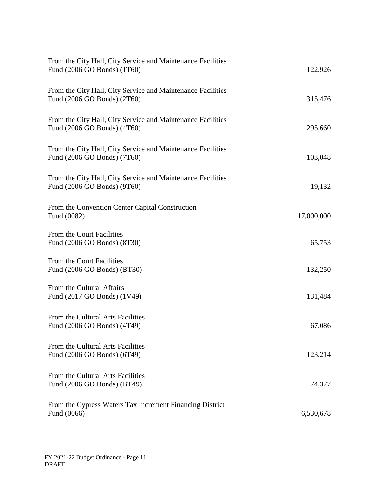| From the City Hall, City Service and Maintenance Facilities<br>Fund (2006 GO Bonds) (1T60) | 122,926    |
|--------------------------------------------------------------------------------------------|------------|
| From the City Hall, City Service and Maintenance Facilities<br>Fund (2006 GO Bonds) (2T60) | 315,476    |
| From the City Hall, City Service and Maintenance Facilities<br>Fund (2006 GO Bonds) (4T60) | 295,660    |
| From the City Hall, City Service and Maintenance Facilities<br>Fund (2006 GO Bonds) (7T60) | 103,048    |
| From the City Hall, City Service and Maintenance Facilities<br>Fund (2006 GO Bonds) (9T60) | 19,132     |
| From the Convention Center Capital Construction<br>Fund (0082)                             | 17,000,000 |
| From the Court Facilities<br>Fund (2006 GO Bonds) (8T30)                                   | 65,753     |
| From the Court Facilities<br>Fund (2006 GO Bonds) (BT30)                                   | 132,250    |
| From the Cultural Affairs<br>Fund (2017 GO Bonds) (1V49)                                   | 131,484    |
| From the Cultural Arts Facilities<br>Fund (2006 GO Bonds) (4T49)                           | 67,086     |
| From the Cultural Arts Facilities<br>Fund (2006 GO Bonds) (6T49)                           | 123,214    |
| From the Cultural Arts Facilities<br>Fund (2006 GO Bonds) (BT49)                           | 74,377     |
| From the Cypress Waters Tax Increment Financing District<br>Fund (0066)                    | 6,530,678  |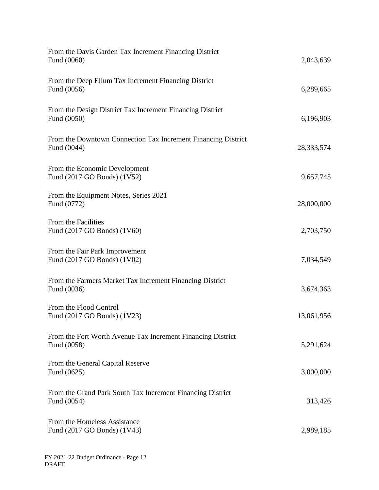| From the Davis Garden Tax Increment Financing District<br>Fund (0060)        | 2,043,639    |
|------------------------------------------------------------------------------|--------------|
| From the Deep Ellum Tax Increment Financing District<br>Fund (0056)          | 6,289,665    |
| From the Design District Tax Increment Financing District<br>Fund (0050)     | 6,196,903    |
| From the Downtown Connection Tax Increment Financing District<br>Fund (0044) | 28, 333, 574 |
| From the Economic Development<br>Fund (2017 GO Bonds) (1V52)                 | 9,657,745    |
| From the Equipment Notes, Series 2021<br>Fund (0772)                         | 28,000,000   |
| From the Facilities<br>Fund (2017 GO Bonds) (1V60)                           | 2,703,750    |
| From the Fair Park Improvement<br>Fund (2017 GO Bonds) (1V02)                | 7,034,549    |
| From the Farmers Market Tax Increment Financing District<br>Fund (0036)      | 3,674,363    |
| From the Flood Control<br>Fund (2017 GO Bonds) (1V23)                        | 13,061,956   |
| From the Fort Worth Avenue Tax Increment Financing District<br>Fund (0058)   | 5,291,624    |
| From the General Capital Reserve<br>Fund (0625)                              | 3,000,000    |
| From the Grand Park South Tax Increment Financing District<br>Fund (0054)    | 313,426      |
| From the Homeless Assistance<br>Fund (2017 GO Bonds) (1V43)                  | 2,989,185    |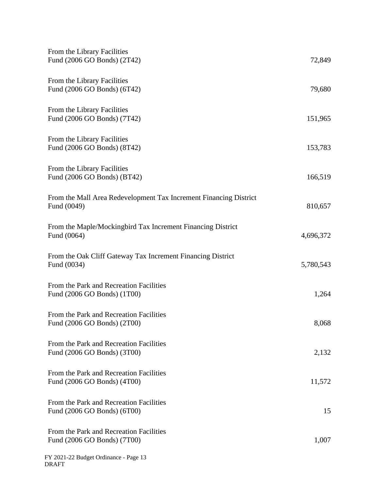| From the Library Facilities<br>Fund (2006 GO Bonds) (2T42)                       | 72,849    |
|----------------------------------------------------------------------------------|-----------|
| From the Library Facilities<br>Fund (2006 GO Bonds) (6T42)                       | 79,680    |
| From the Library Facilities<br>Fund (2006 GO Bonds) (7T42)                       | 151,965   |
| From the Library Facilities<br>Fund (2006 GO Bonds) (8T42)                       | 153,783   |
| From the Library Facilities<br>Fund (2006 GO Bonds) (BT42)                       | 166,519   |
| From the Mall Area Redevelopment Tax Increment Financing District<br>Fund (0049) | 810,657   |
| From the Maple/Mockingbird Tax Increment Financing District<br>Fund (0064)       | 4,696,372 |
| From the Oak Cliff Gateway Tax Increment Financing District<br>Fund (0034)       | 5,780,543 |
| From the Park and Recreation Facilities<br>Fund (2006 GO Bonds) (1T00)           | 1,264     |
| From the Park and Recreation Facilities<br>Fund (2006 GO Bonds) (2T00)           | 8,068     |
| From the Park and Recreation Facilities<br>Fund (2006 GO Bonds) (3T00)           | 2,132     |
| From the Park and Recreation Facilities<br>Fund (2006 GO Bonds) (4T00)           | 11,572    |
| From the Park and Recreation Facilities<br>Fund (2006 GO Bonds) (6T00)           | 15        |
| From the Park and Recreation Facilities<br>Fund (2006 GO Bonds) (7T00)           | 1,007     |
| FY 2021-22 Budget Ordinance - Page 13<br><b>DRAFT</b>                            |           |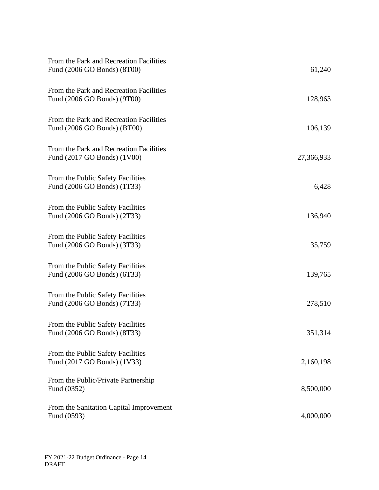| From the Park and Recreation Facilities<br>Fund (2006 GO Bonds) (8T00) | 61,240     |
|------------------------------------------------------------------------|------------|
| From the Park and Recreation Facilities<br>Fund (2006 GO Bonds) (9T00) | 128,963    |
| From the Park and Recreation Facilities<br>Fund (2006 GO Bonds) (BT00) | 106,139    |
| From the Park and Recreation Facilities<br>Fund (2017 GO Bonds) (1V00) | 27,366,933 |
| From the Public Safety Facilities<br>Fund (2006 GO Bonds) (1T33)       | 6,428      |
| From the Public Safety Facilities<br>Fund (2006 GO Bonds) (2T33)       | 136,940    |
| From the Public Safety Facilities<br>Fund (2006 GO Bonds) (3T33)       | 35,759     |
| From the Public Safety Facilities<br>Fund (2006 GO Bonds) (6T33)       | 139,765    |
| From the Public Safety Facilities<br>Fund (2006 GO Bonds) (7T33)       | 278,510    |
| From the Public Safety Facilities<br>Fund (2006 GO Bonds) (8T33)       | 351,314    |
| From the Public Safety Facilities<br>Fund (2017 GO Bonds) (1V33)       | 2,160,198  |
| From the Public/Private Partnership<br>Fund (0352)                     | 8,500,000  |
| From the Sanitation Capital Improvement<br>Fund (0593)                 | 4,000,000  |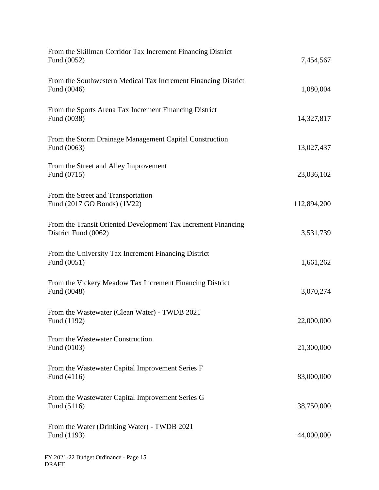| From the Skillman Corridor Tax Increment Financing District<br>Fund (0052)            | 7,454,567   |
|---------------------------------------------------------------------------------------|-------------|
| From the Southwestern Medical Tax Increment Financing District<br>Fund (0046)         | 1,080,004   |
| From the Sports Arena Tax Increment Financing District<br>Fund (0038)                 | 14,327,817  |
| From the Storm Drainage Management Capital Construction<br>Fund (0063)                | 13,027,437  |
| From the Street and Alley Improvement<br>Fund (0715)                                  | 23,036,102  |
| From the Street and Transportation<br>Fund (2017 GO Bonds) (1V22)                     | 112,894,200 |
| From the Transit Oriented Development Tax Increment Financing<br>District Fund (0062) | 3,531,739   |
| From the University Tax Increment Financing District<br>Fund (0051)                   | 1,661,262   |
| From the Vickery Meadow Tax Increment Financing District<br>Fund (0048)               | 3,070,274   |
| From the Wastewater (Clean Water) - TWDB 2021<br>Fund (1192)                          | 22,000,000  |
| From the Wastewater Construction<br>Fund (0103)                                       | 21,300,000  |
| From the Wastewater Capital Improvement Series F<br>Fund (4116)                       | 83,000,000  |
| From the Wastewater Capital Improvement Series G<br>Fund (5116)                       | 38,750,000  |
| From the Water (Drinking Water) - TWDB 2021<br>Fund (1193)                            | 44,000,000  |
|                                                                                       |             |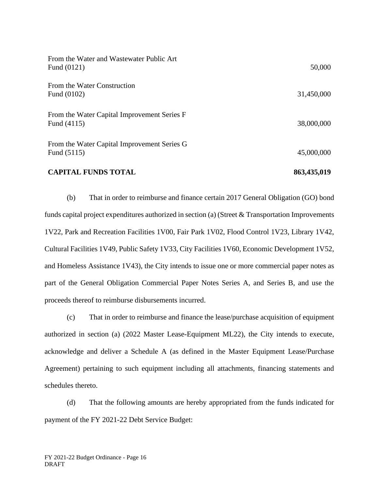| <b>CAPITAL FUNDS TOTAL</b>                                 | 863,435,019 |
|------------------------------------------------------------|-------------|
| From the Water Capital Improvement Series G<br>Fund (5115) | 45,000,000  |
| From the Water Capital Improvement Series F<br>Fund (4115) | 38,000,000  |
| From the Water Construction<br>Fund (0102)                 | 31,450,000  |
| From the Water and Wastewater Public Art<br>Fund (0121)    | 50,000      |

(b) That in order to reimburse and finance certain 2017 General Obligation (GO) bond funds capital project expenditures authorized in section (a) (Street & Transportation Improvements 1V22, Park and Recreation Facilities 1V00, Fair Park 1V02, Flood Control 1V23, Library 1V42, Cultural Facilities 1V49, Public Safety 1V33, City Facilities 1V60, Economic Development 1V52, and Homeless Assistance 1V43), the City intends to issue one or more commercial paper notes as part of the General Obligation Commercial Paper Notes Series A, and Series B, and use the proceeds thereof to reimburse disbursements incurred.

(c) That in order to reimburse and finance the lease/purchase acquisition of equipment authorized in section (a) (2022 Master Lease-Equipment ML22), the City intends to execute, acknowledge and deliver a Schedule A (as defined in the Master Equipment Lease/Purchase Agreement) pertaining to such equipment including all attachments, financing statements and schedules thereto.

(d) That the following amounts are hereby appropriated from the funds indicated for payment of the FY 2021-22 Debt Service Budget: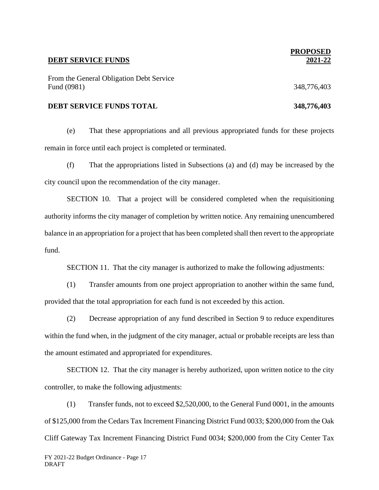#### **DEBT SERVICE FUNDS**

From the General Obligation Debt Service Fund (0981) 348,776,403

#### **DEBT SERVICE FUNDS TOTAL 348,776,403**

(e) That these appropriations and all previous appropriated funds for these projects remain in force until each project is completed or terminated.

(f) That the appropriations listed in Subsections (a) and (d) may be increased by the city council upon the recommendation of the city manager.

SECTION 10. That a project will be considered completed when the requisitioning authority informs the city manager of completion by written notice. Any remaining unencumbered balance in an appropriation for a project that has been completed shall then revert to the appropriate fund.

SECTION 11. That the city manager is authorized to make the following adjustments:

(1) Transfer amounts from one project appropriation to another within the same fund, provided that the total appropriation for each fund is not exceeded by this action.

(2) Decrease appropriation of any fund described in Section 9 to reduce expenditures within the fund when, in the judgment of the city manager, actual or probable receipts are less than the amount estimated and appropriated for expenditures.

SECTION 12. That the city manager is hereby authorized, upon written notice to the city controller, to make the following adjustments:

(1) Transfer funds, not to exceed \$2,520,000, to the General Fund 0001, in the amounts of \$125,000 from the Cedars Tax Increment Financing District Fund 0033; \$200,000 from the Oak Cliff Gateway Tax Increment Financing District Fund 0034; \$200,000 from the City Center Tax

# **PROPOSED 2021-22**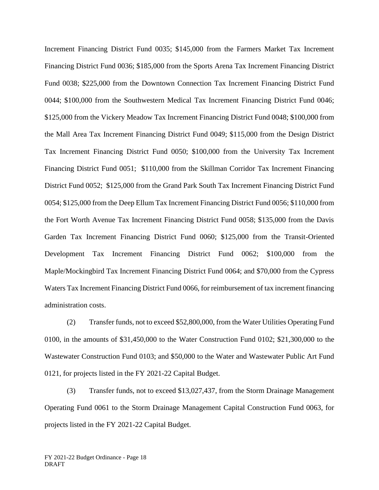Increment Financing District Fund 0035; \$145,000 from the Farmers Market Tax Increment Financing District Fund 0036; \$185,000 from the Sports Arena Tax Increment Financing District Fund 0038; \$225,000 from the Downtown Connection Tax Increment Financing District Fund 0044; \$100,000 from the Southwestern Medical Tax Increment Financing District Fund 0046; \$125,000 from the Vickery Meadow Tax Increment Financing District Fund 0048; \$100,000 from the Mall Area Tax Increment Financing District Fund 0049; \$115,000 from the Design District Tax Increment Financing District Fund 0050; \$100,000 from the University Tax Increment Financing District Fund 0051; \$110,000 from the Skillman Corridor Tax Increment Financing District Fund 0052; \$125,000 from the Grand Park South Tax Increment Financing District Fund 0054; \$125,000 from the Deep Ellum Tax Increment Financing District Fund 0056; \$110,000 from the Fort Worth Avenue Tax Increment Financing District Fund 0058; \$135,000 from the Davis Garden Tax Increment Financing District Fund 0060; \$125,000 from the Transit-Oriented Development Tax Increment Financing District Fund 0062; \$100,000 from the Maple/Mockingbird Tax Increment Financing District Fund 0064; and \$70,000 from the Cypress Waters Tax Increment Financing District Fund 0066, for reimbursement of tax increment financing administration costs.

(2) Transfer funds, not to exceed \$52,800,000, from the Water Utilities Operating Fund 0100, in the amounts of \$31,450,000 to the Water Construction Fund 0102; \$21,300,000 to the Wastewater Construction Fund 0103; and \$50,000 to the Water and Wastewater Public Art Fund 0121, for projects listed in the FY 2021-22 Capital Budget.

(3) Transfer funds, not to exceed \$13,027,437, from the Storm Drainage Management Operating Fund 0061 to the Storm Drainage Management Capital Construction Fund 0063, for projects listed in the FY 2021-22 Capital Budget.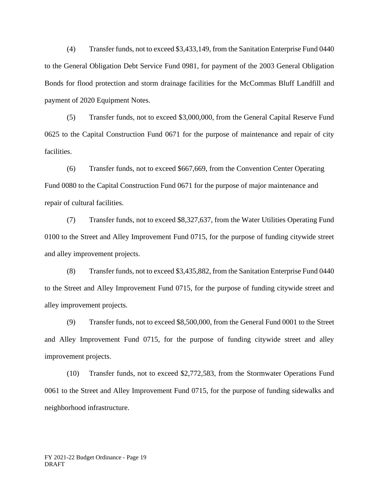(4) Transfer funds, not to exceed \$3,433,149, from the Sanitation Enterprise Fund 0440 to the General Obligation Debt Service Fund 0981, for payment of the 2003 General Obligation Bonds for flood protection and storm drainage facilities for the McCommas Bluff Landfill and payment of 2020 Equipment Notes.

(5) Transfer funds, not to exceed \$3,000,000, from the General Capital Reserve Fund 0625 to the Capital Construction Fund 0671 for the purpose of maintenance and repair of city facilities.

(6) Transfer funds, not to exceed \$667,669, from the Convention Center Operating Fund 0080 to the Capital Construction Fund 0671 for the purpose of major maintenance and repair of cultural facilities.

(7) Transfer funds, not to exceed \$8,327,637, from the Water Utilities Operating Fund 0100 to the Street and Alley Improvement Fund 0715, for the purpose of funding citywide street and alley improvement projects.

(8) Transfer funds, not to exceed \$3,435,882, from the Sanitation Enterprise Fund 0440 to the Street and Alley Improvement Fund 0715, for the purpose of funding citywide street and alley improvement projects.

(9) Transfer funds, not to exceed \$8,500,000, from the General Fund 0001 to the Street and Alley Improvement Fund 0715, for the purpose of funding citywide street and alley improvement projects.

(10) Transfer funds, not to exceed \$2,772,583, from the Stormwater Operations Fund 0061 to the Street and Alley Improvement Fund 0715, for the purpose of funding sidewalks and neighborhood infrastructure.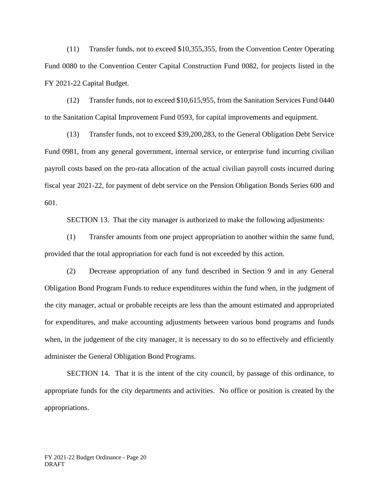(11) Transfer funds, not to exceed \$10,355,355, from the Convention Center Operating Fund 0080 to the Convention Center Capital Construction Fund 0082, for projects listed in the FY 2021-22 Capital Budget.

(12) Transfer funds, not to exceed \$10,615,955, from the Sanitation Services Fund 0440 to the Sanitation Capital Improvement Fund 0593, for capital improvements and equipment.

(13) Transfer funds, not to exceed \$39,200,283, to the General Obligation Debt Service Fund 0981, from any general government, internal service, or enterprise fund incurring civilian payroll costs based on the pro-rata allocation of the actual civilian payroll costs incurred during fiscal year 2021-22, for payment of debt service on the Pension Obligation Bonds Series 600 and 601.

SECTION 13. That the city manager is authorized to make the following adjustments:

(1) Transfer amounts from one project appropriation to another within the same fund, provided that the total appropriation for each fund is not exceeded by this action.

(2) Decrease appropriation of any fund described in Section 9 and in any General Obligation Bond Program Funds to reduce expenditures within the fund when, in the judgment of the city manager, actual or probable receipts are less than the amount estimated and appropriated for expenditures, and make accounting adjustments between various bond programs and funds when, in the judgement of the city manager, it is necessary to do so to effectively and efficiently administer the General Obligation Bond Programs.

SECTION 14. That it is the intent of the city council, by passage of this ordinance, to appropriate funds for the city departments and activities. No office or position is created by the appropriations.